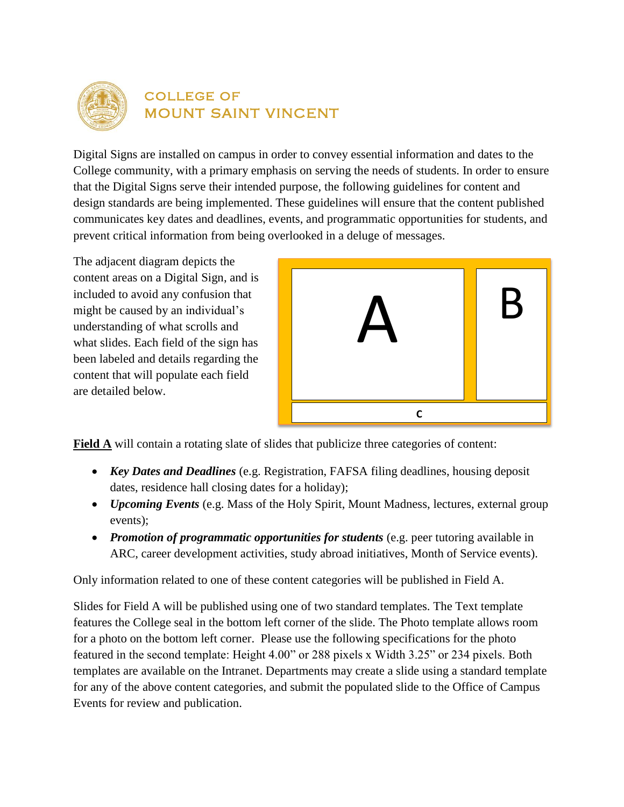

## college of mount saint vincent

Digital Signs are installed on campus in order to convey essential information and dates to the College community, with a primary emphasis on serving the needs of students. In order to ensure that the Digital Signs serve their intended purpose, the following guidelines for content and design standards are being implemented. These guidelines will ensure that the content published communicates key dates and deadlines, events, and programmatic opportunities for students, and prevent critical information from being overlooked in a deluge of messages.

The adjacent diagram depicts the content areas on a Digital Sign, and is included to avoid any confusion that might be caused by an individual's understanding of what scrolls and what slides. Each field of the sign has been labeled and details regarding the content that will populate each field are detailed below.



**Field A** will contain a rotating slate of slides that publicize three categories of content:

- *Key Dates and Deadlines* (e.g. Registration, FAFSA filing deadlines, housing deposit dates, residence hall closing dates for a holiday);
- *Upcoming Events* (e.g. Mass of the Holy Spirit, Mount Madness, lectures, external group events);
- *Promotion of programmatic opportunities for students* (e.g. peer tutoring available in ARC, career development activities, study abroad initiatives, Month of Service events).

Only information related to one of these content categories will be published in Field A.

Slides for Field A will be published using one of two standard templates. The Text template features the College seal in the bottom left corner of the slide. The Photo template allows room for a photo on the bottom left corner. Please use the following specifications for the photo featured in the second template: Height 4.00" or 288 pixels x Width 3.25" or 234 pixels. Both templates are available on the Intranet. Departments may create a slide using a standard template for any of the above content categories, and submit the populated slide to the Office of Campus Events for review and publication.